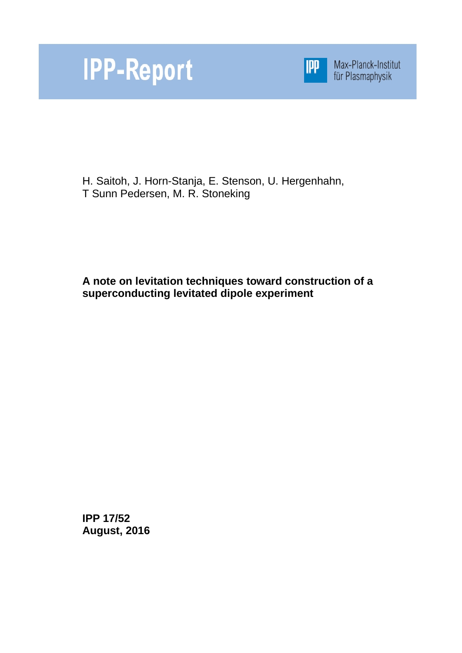



Max-Planck-Institut<br>für Plasmaphysik

H. Saitoh, J. Horn-Stanja, E. Stenson, U. Hergenhahn, T Sunn Pedersen, M. R. Stoneking

**A note on levitation techniques toward construction of a superconducting levitated dipole experiment**

**IPP 17/52 August, 2016**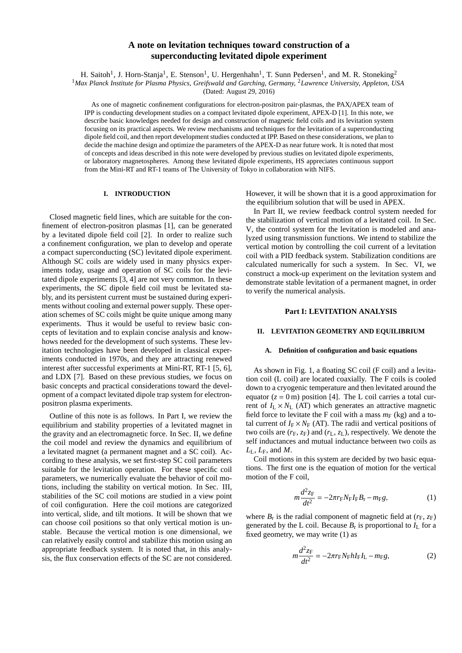# **A note on levitation techniques toward construction of a superconducting levitated dipole experiment**

H. Saitoh<sup>1</sup>, J. Horn-Stanja<sup>1</sup>, E. Stenson<sup>1</sup>, U. Hergenhahn<sup>1</sup>, T. Sunn Pedersen<sup>1</sup>, and M. R. Stoneking<sup>2</sup>

<sup>1</sup>*Max Planck Institute for Plasma Physics, Greifswald and Garching, Germany,* <sup>2</sup>*Lawrence University, Appleton, USA*

(Dated: August 29, 2016)

As one of magnetic confinement configurations for electron-positron pair-plasmas, the PAX/APEX team of IPP is conducting development studies on a compact levitated dipole experiment, APEX-D [1]. In this note, we describe basic knowledges needed for design and construction of magnetic field coils and its levitation system focusing on its practical aspects. We review mechanisms and techniques for the levitation of a superconducting dipole field coil, and then report development studies conducted at IPP. Based on these considerations, we plan to decide the machine design and optimize the parameters of the APEX-D as near future work. It is noted that most of concepts and ideas described in this note were developed by previous studies on levitated dipole experiments, or laboratory magnetospheres. Among these levitated dipole experiments, HS appreciates continuous support from the Mini-RT and RT-1 teams of The University of Tokyo in collaboration with NIFS.

## **I. INTRODUCTION**

Closed magnetic field lines, which are suitable for the confinement of electron-positron plasmas [1], can be generated by a levitated dipole field coil [2]. In order to realize such a confinement configuration, we plan to develop and operate a compact superconducting (SC) levitated dipole experiment. Although SC coils are widely used in many physics experiments today, usage and operation of SC coils for the levitated dipole experiments [3, 4] are not very common. In these experiments, the SC dipole field coil must be levitated stably, and its persistent current must be sustained during experiments without cooling and external power supply. These operation schemes of SC coils might be quite unique among many experiments. Thus it would be useful to review basic concepts of levitation and to explain concise analysis and knowhows needed for the development of such systems. These levitation technologies have been developed in classical experiments conducted in 1970s, and they are attracting renewed interest after successful experiments at Mini-RT, RT-1 [5, 6], and LDX [7]. Based on these previous studies, we focus on basic concepts and practical considerations toward the development of a compact levitated dipole trap system for electronpositron plasma experiments.

Outline of this note is as follows. In Part I, we review the equilibrium and stability properties of a levitated magnet in the gravity and an electromagnetic force. In Sec. II, we define the coil model and review the dynamics and equilibrium of a levitated magnet (a permanent magnet and a SC coil). According to these analysis, we set first-step SC coil parameters suitable for the levitation operation. For these specific coil parameters, we numerically evaluate the behavior of coil motions, including the stability on vertical motion. In Sec. III, stabilities of the SC coil motions are studied in a view point of coil configuration. Here the coil motions are categorized into vertical, slide, and tilt motions. It will be shown that we can choose coil positions so that only vertical motion is unstable. Because the vertical motion is one dimensional, we can relatively easily control and stabilize this motion using an appropriate feedback system. It is noted that, in this analysis, the flux conservation effects of the SC are not considered.

However, it will be shown that it is a good approximation for the equilibrium solution that will be used in APEX.

In Part II, we review feedback control system needed for the stabilization of vertical motion of a levitated coil. In Sec. V, the control system for the levitation is modeled and analyzed using transmission functions. We intend to stabilize the vertical motion by controlling the coil current of a levitation coil with a PID feedback system. Stabilization conditions are calculated numerically for such a system. In Sec. VI, we construct a mock-up experiment on the levitation system and demonstrate stable levitation of a permanent magnet, in order to verify the numerical analysis.

## **Part I: LEVITATION ANALYSIS**

## **II. LEVITATION GEOMETRY AND EQUILIBRIUM**

### **A. Definition of configuration and basic equations**

As shown in Fig. 1, a floating SC coil (F coil) and a levitation coil (L coil) are located coaxially. The F coils is cooled down to a cryogenic temperature and then levitated around the equator  $(z = 0$  m) position [4]. The L coil carries a total current of  $I_L \times N_L$  (AT) which generates an attractive magnetic field force to levitate the F coil with a mass  $m_F$  (kg) and a total current of  $I_F \times N_F$  (AT). The radii and vertical positions of two coils are  $(r_F, z_F)$  and  $(r_L, z_L)$ , respectively. We denote the self inductances and mutual inductance between two coils as  $L_L$ ,  $L_F$ , and  $M$ .

Coil motions in this system are decided by two basic equations. The first one is the equation of motion for the vertical motion of the F coil,

$$
m\frac{d^2z_F}{dt^2} = -2\pi r_F N_F I_F B_r - m_F g,
$$
 (1)

where  $B_r$  is the radial component of magnetic field at  $(r_F, z_F)$ generated by the L coil. Because  $B_r$  is proportional to  $I_L$  for a fixed geometry, we may write (1) as

$$
m\frac{d^2z_F}{dt^2} = -2\pi r_F N_F h I_F I_L - m_F g,
$$
 (2)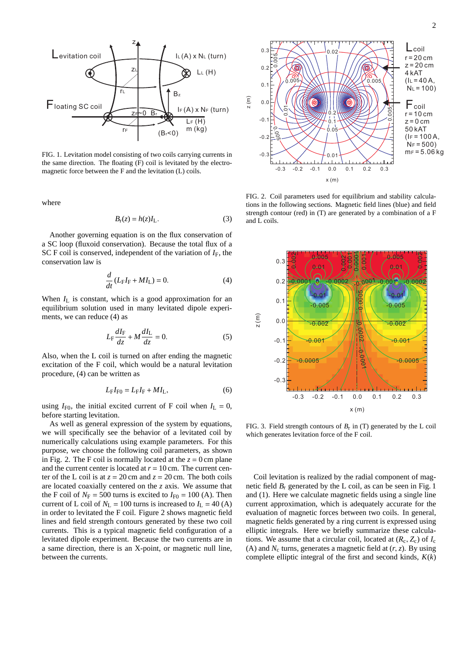

FIG. 1. Levitation model consisting of two coils carrying currents in the same direction. The floating (F) coil is levitated by the electromagnetic force between the F and the levitation (L) coils.

where

$$
B_{\rm r}(z) = h(z)I_{\rm L}.\tag{3}
$$

Another governing equation is on the flux conservation of a SC loop (fluxoid conservation). Because the total flux of a SC F coil is conserved, independent of the variation of  $I_F$ , the conservation law is

$$
\frac{d}{dt}\left(L_{\mathrm{F}}I_{\mathrm{F}} + MI_{\mathrm{L}}\right) = 0.\tag{4}
$$

When  $I_L$  is constant, which is a good approximation for an equilibrium solution used in many levitated dipole experiments, we can reduce (4) as

$$
L_{\rm F} \frac{dI_{\rm F}}{dz} + M \frac{dI_{\rm L}}{dz} = 0.
$$
 (5)

Also, when the L coil is turned on after ending the magnetic excitation of the F coil, which would be a natural levitation procedure, (4) can be written as

$$
L_{\mathrm{F}}I_{\mathrm{F}0} = L_{\mathrm{F}}I_{\mathrm{F}} + MI_{\mathrm{L}},\tag{6}
$$

using  $I_{F0}$ , the initial excited current of F coil when  $I_L = 0$ , before starting levitation.

As well as general expression of the system by equations, we will specifically see the behavior of a levitated coil by numerically calculations using example parameters. For this purpose, we choose the following coil parameters, as shown in Fig. 2. The F coil is normally located at the  $z = 0$  cm plane and the current center is located at  $r = 10$  cm. The current center of the L coil is at  $z = 20$  cm and  $z = 20$  cm. The both coils are located coaxially centered on the *z* axis. We assume that the F coil of  $N_F = 500$  turns is excited to  $I_{F0} = 100$  (A). Then current of L coil of  $N_L$  = 100 turns is increased to  $I_L$  = 40 (A) in order to levitated the F coil. Figure 2 shows magnetic field lines and field strength contours generated by these two coil currents. This is a typical magnetic field configuration of a levitated dipole experiment. Because the two currents are in a same direction, there is an X-point, or magnetic null line, between the currents.



FIG. 2. Coil parameters used for equilibrium and stability calculations in the following sections. Magnetic field lines (blue) and field strength contour (red) in (T) are generated by a combination of a F and L coils.

![](_page_2_Figure_14.jpeg)

FIG. 3. Field strength contours of  $B_r$  in (T) generated by the L coil which generates levitation force of the F coil.

Coil levitation is realized by the radial component of magnetic field  $B_r$  generated by the L coil, as can be seen in Fig. 1 and (1). Here we calculate magnetic fields using a single line current approximation, which is adequately accurate for the evaluation of magnetic forces between two coils. In general, magnetic fields generated by a ring current is expressed using elliptic integrals. Here we briefly summarize these calculations. We assume that a circular coil, located at  $(R_c, Z_c)$  of  $I_c$ (A) and  $N_c$  turns, generates a magnetic field at  $(r, z)$ . By using complete elliptic integral of the first and second kinds, *K*(*k*)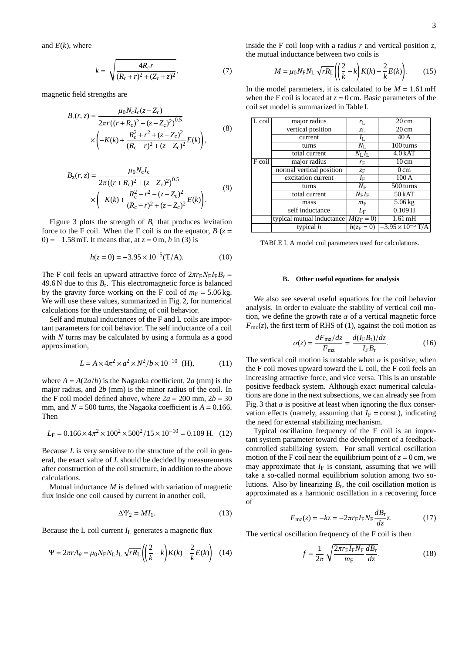and  $E(k)$ , where

$$
k = \sqrt{\frac{4R_{c}r}{(R_{c} + r)^{2} + (Z_{c} + z)^{2}}},
$$
\n(7)

magnetic field strengths are

$$
B_{\rm r}(r, z) = \frac{\mu_0 N_{\rm c} I_{\rm c}(z - Z_{\rm c})}{2\pi r \left( (r + R_{\rm c})^2 + (z - Z_{\rm c})^2 \right)^{0.5}} \times \left( -K(k) + \frac{R_{\rm c}^2 + r^2 + (z - Z_{\rm c})^2}{(R_{\rm c} - r)^2 + (z - Z_{\rm c})^2} E(k) \right),\tag{8}
$$

$$
B_{z}(r, z) = \frac{\mu_{0}N_{c}I_{c}}{2\pi((r+R_{c})^{2}+(z-Z_{c})^{2})^{0.5}} \times \left(-K(k)+\frac{R_{c}^{2}-r^{2}-(z-Z_{c})^{2}}{(R_{c}-r)^{2}+(z-Z_{c})^{2}}E(k)\right).
$$
\n(9)

Figure 3 plots the strength of  $B_r$  that produces levitation force to the F coil. When the F coil is on the equator,  $B_r(z =$ 0) = −1.58 mT. It means that, at *z* = 0 m, *h* in (3) is

$$
h(z=0) = -3.95 \times 10^{-5} (T/A). \tag{10}
$$

The F coil feels an upward attractive force of  $2\pi r_F N_F I_F B_r$  =  $49.6$  N due to this  $B_r$ . This electromagnetic force is balanced by the gravity force working on the F coil of  $m_F = 5.06$  kg. We will use these values, summarized in Fig. 2, for numerical calculations for the understanding of coil behavior.

Self and mutual inductances of the F and L coils are important parameters for coil behavior. The self inductance of a coil with *N* turns may be calculated by using a formula as a good approximation,

$$
L = A \times 4\pi^2 \times a^2 \times N^2 / b \times 10^{-10}
$$
 (H), (11)

where  $A = A(2a/b)$  is the Nagaoka coefficient, 2*a* (mm) is the major radius, and 2*b* (mm) is the minor radius of the coil. In the F coil model defined above, where  $2a = 200$  mm,  $2b = 30$ mm, and  $N = 500$  turns, the Nagaoka coefficient is  $A = 0.166$ . Then

$$
L_{\rm F} = 0.166 \times 4\pi^2 \times 100^2 \times 500^2 / 15 \times 10^{-10} = 0.109 \text{ H.}
$$
 (12)

Because *L* is very sensitive to the structure of the coil in general, the exact value of *L* should be decided by measurements after construction of the coil structure, in addition to the above calculations.

Mutual inductance *M* is defined with variation of magnetic flux inside one coil caused by current in another coil,

$$
\Delta \Psi_2 = M I_1. \tag{13}
$$

Because the L coil current  $I_L$  generates a magnetic flux

$$
\Psi = 2\pi r A_\theta = \mu_0 N_{\rm F} N_{\rm L} I_{\rm L} \sqrt{r R_{\rm L}} \left( \left( \frac{2}{k} - k \right) K(k) - \frac{2}{k} E(k) \right) \tag{14}
$$

inside the F coil loop with a radius  $r$  and vertical position  $z$ , the mutual inductance between two coils is

$$
M = \mu_0 N_{\rm F} N_{\rm L} \sqrt{rR_{\rm L}} \left( \left( \frac{2}{k} - k \right) K(k) - \frac{2}{k} E(k) \right). \tag{15}
$$

In the model parameters, it is calculated to be  $M = 1.61 \text{ mH}$ when the F coil is located at  $z = 0$  cm. Basic parameters of the coil set model is summarized in Table I.

| L coil | major radius              | $r_{L}$               | $20 \text{ cm}$                           |
|--------|---------------------------|-----------------------|-------------------------------------------|
|        | vertical position         | $z_L$                 | $20 \text{ cm}$                           |
|        | current                   | $I_{\rm L}$           | 40A                                       |
|        | turns                     | $N_{\rm L}$           | 100 turns                                 |
|        | total current             | $N_{\rm L} I_{\rm L}$ | 4.0 kAT                                   |
| F coil | major radius              | $r_{\rm F}$           | $10 \text{ cm}$                           |
|        | normal vertical position  | ZF                    | $0 \text{ cm}$                            |
|        | excitation current        | $I_{\rm F}$           | 100A                                      |
|        | turns                     | $N_{\rm F}$           | 500 turns                                 |
|        | total current             | $N_{\rm F} I_{\rm F}$ | 50kAT                                     |
|        | mass                      | $m_F$                 | $5.06$ kg                                 |
|        | self inductance           | $L_{\rm F}$           | 0.109H                                    |
|        | typical mutual inductance | $M(z_F = 0)$          | $1.61 \text{ mH}$                         |
|        | typical $h$               |                       | $h(z_F = 0)$ -3.95 × 10 <sup>-5</sup> T/A |

TABLE I. A model coil parameters used for calculations.

### **B. Other useful equations for analysis**

We also see several useful equations for the coil behavior analysis. In order to evaluate the stability of vertical coil motion, we define the growth rate  $\alpha$  of a vertical magnetic force  $F_{\text{mz}}(z)$ , the first term of RHS of (1), against the coil motion as

$$
\alpha(z) = \frac{dF_{\text{m}z}/dz}{F_{\text{m}z}} = \frac{d(I_{\text{F}}B_{\text{r}})/dz}{I_{\text{F}}B_{\text{r}}}.
$$
(16)

The vertical coil motion is unstable when  $\alpha$  is positive; when the F coil moves upward toward the L coil, the F coil feels an increasing attractive force, and vice versa. This is an unstable positive feedback system. Although exact numerical calculations are done in the next subsections, we can already see from Fig. 3 that  $\alpha$  is positive at least when ignoring the flux conservation effects (namely, assuming that  $I_F = \text{const.}$ ), indicating the need for external stabilizing mechanism.

Typical oscillation frequency of the F coil is an important system parameter toward the development of a feedbackcontrolled stabilizing system. For small vertical oscillation motion of the F coil near the equilibrium point of  $z = 0$  cm, we may approximate that  $I_F$  is constant, assuming that we will take a so-called normal equilibrium solution among two solutions. Also by linearizing  $B_r$ , the coil oscillation motion is approximated as a harmonic oscillation in a recovering force of

$$
F_{\text{mz}}(z) = -kz = -2\pi r_{\text{F}} I_{\text{F}} N_{\text{F}} \frac{dB_{\text{r}}}{dz} z.
$$
 (17)

The vertical oscillation frequency of the F coil is then

$$
f = \frac{1}{2\pi} \sqrt{\frac{2\pi r_{\rm F} I_{\rm F} N_{\rm F}}{m_{\rm F}} \frac{dB_{\rm r}}{dz}}.
$$
(18)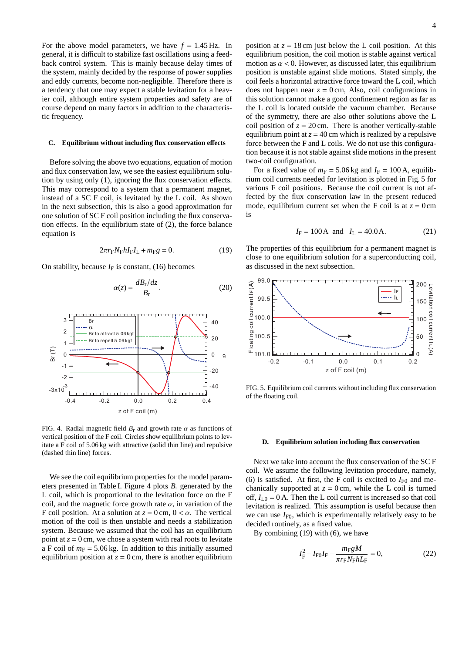For the above model parameters, we have  $f = 1.45$  Hz. In general, it is difficult to stabilize fast oscillations using a feedback control system. This is mainly because delay times of the system, mainly decided by the response of power supplies and eddy currents, become non-negligible. Therefore there is a tendency that one may expect a stable levitation for a heavier coil, although entire system properties and safety are of course depend on many factors in addition to the characteristic frequency.

#### **C. Equilibrium without including flux conservation e**ff**ects**

Before solving the above two equations, equation of motion and flux conservation law, we see the easiest equilibrium solution by using only (1), ignoring the flux conservation effects. This may correspond to a system that a permanent magnet, instead of a SC F coil, is levitated by the L coil. As shown in the next subsection, this is also a good approximation for one solution of SC F coil position including the flux conservation effects. In the equilibrium state of (2), the force balance equation is

$$
2\pi r_{\rm F} N_{\rm F} h I_{\rm F} I_{\rm L} + m_{\rm F} g = 0. \tag{19}
$$

On stability, because  $I_F$  is constant, (16) becomes

$$
\alpha(z) = \frac{dB_{\rm r}/dz}{B_{\rm r}}.\tag{20}
$$

![](_page_4_Figure_6.jpeg)

FIG. 4. Radial magnetic field  $B_r$  and growth rate  $\alpha$  as functions of vertical position of the F coil. Circles show equilibrium points to levitate a F coil of 5.06 kg with attractive (solid thin line) and repulsive (dashed thin line) forces.

We see the coil equilibrium properties for the model parameters presented in Table I. Figure 4 plots *B*<sup>r</sup> generated by the L coil, which is proportional to the levitation force on the F coil, and the magnetic force growth rate  $\alpha$ , in variation of the F coil position. At a solution at  $z = 0$  cm,  $0 < \alpha$ . The vertical motion of the coil is then unstable and needs a stabilization system. Because we assumed that the coil has an equilibrium point at  $z = 0$  cm, we chose a system with real roots to levitate a F coil of  $m_F = 5.06 \text{ kg}$ . In addition to this initially assumed equilibrium position at  $z = 0$  cm, there is another equilibrium position at  $z = 18$  cm just below the L coil position. At this equilibrium position, the coil motion is stable against vertical motion as  $\alpha$  < 0. However, as discussed later, this equilibrium position is unstable against slide motions. Stated simply, the coil feels a horizontal attractive force toward the L coil, which does not happen near  $z = 0$  cm, Also, coil configurations in this solution cannot make a good confinement region as far as the L coil is located outside the vacuum chamber. Because of the symmetry, there are also other solutions above the L coil position of  $z = 20$  cm. There is another vertically-stable equilibrium point at  $z = 40$  cm which is realized by a repulsive force between the F and L coils. We do not use this configuration because it is not stable against slide motions in the present two-coil configuration.

For a fixed value of  $m_F = 5.06$  kg and  $I_F = 100$  A, equilibrium coil currents needed for levitation is plotted in Fig. 5 for various F coil positions. Because the coil current is not affected by the flux conservation law in the present reduced mode, equilibrium current set when the F coil is at  $z = 0$  cm is

$$
I_F = 100 \text{ A}
$$
 and  $I_L = 40.0 \text{ A}.$  (21)

The properties of this equilibrium for a permanent magnet is close to one equilibrium solution for a superconducting coil, as discussed in the next subsection.

![](_page_4_Figure_13.jpeg)

FIG. 5. Equilibrium coil currents without including flux conservation of the floating coil.

#### **D. Equilibrium solution including flux conservation**

Next we take into account the flux conservation of the SC F coil. We assume the following levitation procedure, namely, (6) is satisfied. At first, the F coil is excited to  $I_{F0}$  and mechanically supported at  $z = 0$  cm, while the L coil is turned off,  $I_{I,0} = 0$  A. Then the L coil current is increased so that coil levitation is realized. This assumption is useful because then we can use  $I_{F0}$ , which is experimentally relatively easy to be decided routinely, as a fixed value.

By combining (19) with (6), we have

$$
I_{\rm F}^2 - I_{\rm F0}I_{\rm F} - \frac{m_{\rm F}gM}{\pi r_{\rm F}N_{\rm F}hL_{\rm F}} = 0, \tag{22}
$$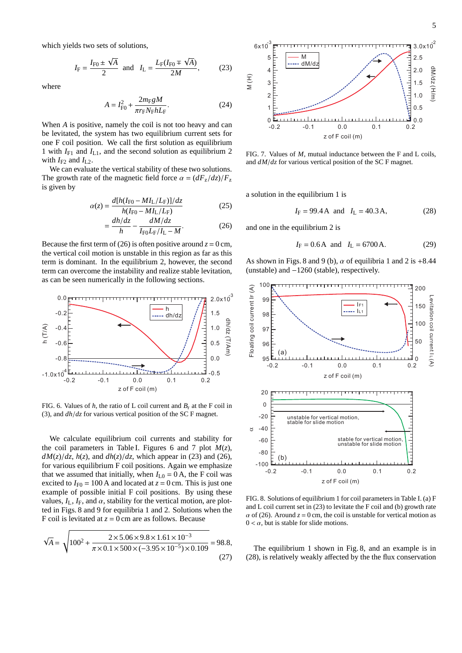which yields two sets of solutions,

$$
I_{\rm F} = \frac{I_{\rm F0} \pm \sqrt{A}}{2}
$$
 and  $I_{\rm L} = \frac{L_{\rm F}(I_{\rm F0} \mp \sqrt{A})}{2M}$ , (23)

where

$$
A = I_{\rm F0}^2 + \frac{2m_{\rm F}gM}{\pi r_{\rm F}N_{\rm F}hL_{\rm F}}.\tag{24}
$$

When *A* is positive, namely the coil is not too heavy and can be levitated, the system has two equilibrium current sets for one F coil position. We call the first solution as equilibrium 1 with  $I_{F1}$  and  $I_{L1}$ , and the second solution as equilibrium 2 with  $I_{F2}$  and  $I_{L2}$ .

We can evaluate the vertical stability of these two solutions. The growth rate of the magnetic field force  $\alpha = (dF_z/dz)/F_z$ is given by

$$
\alpha(z) = \frac{d[h(I_{F0} - M I_L / L_F)]/dz}{h(I_{F0} - M I_L / L_F)}
$$
(25)

$$
=\frac{dh/dz}{h} - \frac{dM/dz}{I_{\rm F0}L_{\rm F}/I_{\rm L} - M}.\tag{26}
$$

Because the first term of (26) is often positive around  $z = 0$  cm, the vertical coil motion is unstable in this region as far as this term is dominant. In the equilibrium 2, however, the second term can overcome the instability and realize stable levitation, as can be seen numerically in the following sections.

![](_page_5_Figure_9.jpeg)

FIG. 6. Values of  $h$ , the ratio of L coil current and  $B_r$  at the F coil in (3), and *dh*/*dz* for various vertical position of the SC F magnet.

We calculate equilibrium coil currents and stability for the coil parameters in Table I. Figures 6 and 7 plot  $M(z)$ ,  $dM(z)/dz$ ,  $h(z)$ , and  $dh(z)/dz$ , which appear in (23) and (26), for various equilibrium F coil positions. Again we emphasize that we assumed that initially, when  $I_{L0} = 0$  A, the F coil was excited to  $I_{\text{F0}} = 100 \text{ A}$  and located at  $z = 0 \text{ cm}$ . This is just one example of possible initial F coil positions. By using these values,  $I_L$ ,  $I_F$ , and  $\alpha$ , stability for the vertical motion, are plotted in Figs. 8 and 9 for equilibria 1 and 2. Solutions when the F coil is levitated at  $z = 0$  cm are as follows. Because

$$
\sqrt{A} = \sqrt{100^2 + \frac{2 \times 5.06 \times 9.8 \times 1.61 \times 10^{-3}}{\pi \times 0.1 \times 500 \times (-3.95 \times 10^{-5}) \times 0.109}} = 98.8,
$$
\n(27)

![](_page_5_Figure_13.jpeg)

FIG. 7. Values of *M*, mutual inductance between the F and L coils, and *dM*/*dz* for various vertical position of the SC F magnet.

a solution in the equilibrium 1 is

$$
I_F = 99.4 \text{ A}
$$
 and  $I_L = 40.3 \text{ A},$  (28)

and one in the equilibrium 2 is

$$
I_F = 0.6
$$
 A and  $I_L = 6700$  A. (29)

As shown in Figs. 8 and 9 (b),  $\alpha$  of equilibria 1 and 2 is +8.44 (unstable) and −1260 (stable), respectively.

![](_page_5_Figure_20.jpeg)

FIG. 8. Solutions of equilibrium 1 for coil parameters in Table I. (a) F and L coil current set in (23) to levitate the F coil and (b) growth rate  $\alpha$  of (26). Around  $z = 0$  cm, the coil is unstable for vertical motion as  $0 < \alpha$ , but is stable for slide motions.

The equilibrium 1 shown in Fig. 8, and an example is in (28), is relatively weakly affected by the the flux conservation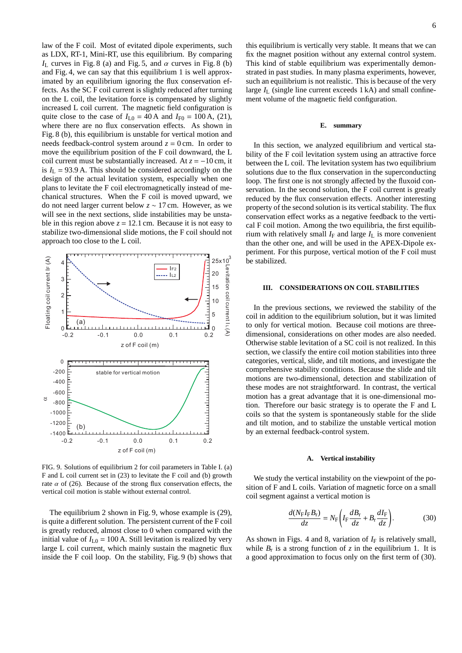law of the F coil. Most of evitated dipole experiments, such as LDX, RT-1, Mini-RT, use this equilibrium. By comparing  $I_L$  curves in Fig. 8 (a) and Fig. 5, and  $\alpha$  curves in Fig. 8 (b) and Fig. 4, we can say that this equilibrium 1 is well approximated by an equilibrium ignoring the flux conservation effects. As the SC F coil current is slightly reduced after turning on the L coil, the levitation force is compensated by slightly increased L coil current. The magnetic field configuration is quite close to the case of  $I_{I,0} = 40$  A and  $I_{F0} = 100$  A, (21), where there are no flux conservation effects. As shown in Fig. 8 (b), this equilibrium is unstable for vertical motion and needs feedback-control system around  $z = 0$  cm. In order to move the equilibrium position of the F coil downward, the L coil current must be substantially increased. At  $z = -10$  cm, it is  $I_L$  = 93.9 A. This should be considered accordingly on the design of the actual levitation system, especially when one plans to levitate the F coil electromagnetically instead of mechanical structures. When the F coil is moved upward, we do not need larger current below *z* ∼ 17 cm. However, as we will see in the next sections, slide instabilities may be unstable in this region above  $z = 12.1$  cm. Because it is not easy to stabilize two-dimensional slide motions, the F coil should not approach too close to the L coil.

![](_page_6_Figure_1.jpeg)

FIG. 9. Solutions of equilibrium 2 for coil parameters in Table I. (a) F and L coil current set in (23) to levitate the F coil and (b) growth rate  $\alpha$  of (26). Because of the strong flux conservation effects, the vertical coil motion is stable without external control.

The equilibrium 2 shown in Fig. 9, whose example is (29), is quite a different solution. The persistent current of the F coil is greatly reduced, almost close to 0 when compared with the initial value of  $I_{I,0} = 100$  A. Still levitation is realized by very large L coil current, which mainly sustain the magnetic flux inside the F coil loop. On the stability, Fig. 9 (b) shows that

this equilibrium is vertically very stable. It means that we can fix the magnet position without any external control system. This kind of stable equilibrium was experimentally demonstrated in past studies. In many plasma experiments, however, such an equilibrium is not realistic. This is because of the very large  $I_L$  (single line current exceeds 1 kA) and small confinement volume of the magnetic field configuration.

#### **E. summary**

In this section, we analyzed equilibrium and vertical stability of the F coil levitation system using an attractive force between the L coil. The levitation system has two equilibrium solutions due to the flux conservation in the superconducting loop. The first one is not strongly affected by the fluxoid conservation. In the second solution, the F coil current is greatly reduced by the flux conservation effects. Another interesting property of the second solution is its vertical stability. The flux conservation effect works as a negative feedback to the vertical F coil motion. Among the two equilibria, the first equilibrium with relatively small  $I_F$  and large  $I_L$  is more convenient than the other one, and will be used in the APEX-Dipole experiment. For this purpose, vertical motion of the F coil must be stabilized.

### **III. CONSIDERATIONS ON COIL STABILITIES**

In the previous sections, we reviewed the stability of the coil in addition to the equilibrium solution, but it was limited to only for vertical motion. Because coil motions are threedimensional, considerations on other modes are also needed. Otherwise stable levitation of a SC coil is not realized. In this section, we classify the entire coil motion stabilities into three categories, vertical, slide, and tilt motions, and investigate the comprehensive stability conditions. Because the slide and tilt motions are two-dimensional, detection and stabilization of these modes are not straightforward. In contrast, the vertical motion has a great advantage that it is one-dimensional motion. Therefore our basic strategy is to operate the F and L coils so that the system is spontaneously stable for the slide and tilt motion, and to stabilize the unstable vertical motion by an external feedback-control system.

#### **A. Vertical instability**

We study the vertical instability on the viewpoint of the position of F and L coils. Variation of magnetic force on a small coil segment against a vertical motion is

$$
\frac{d(N_{\rm F}I_{\rm F}B_{\rm r})}{dz} = N_{\rm F}\left(I_{\rm F}\frac{dB_{\rm r}}{dz} + B_{\rm r}\frac{dI_{\rm F}}{dz}\right). \tag{30}
$$

As shown in Figs. 4 and 8, variation of  $I_F$  is relatively small, while  $B_r$  is a strong function of *z* in the equilibrium 1. It is a good approximation to focus only on the first term of (30).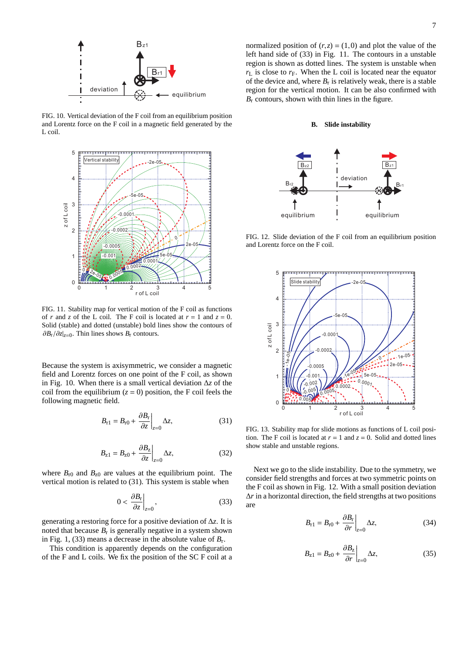![](_page_7_Figure_0.jpeg)

FIG. 10. Vertical deviation of the F coil from an equilibrium position and Lorentz force on the F coil in a magnetic field generated by the L coil.

![](_page_7_Figure_2.jpeg)

FIG. 11. Stability map for vertical motion of the F coil as functions of *r* and *z* of the L coil. The F coil is located at  $r = 1$  and  $z = 0$ . Solid (stable) and dotted (unstable) bold lines show the contours of ∂*B*r/∂*z*|*z*=<sup>0</sup> . Thin lines shows *B*r contours.

Because the system is axisymmetric, we consider a magnetic field and Lorentz forces on one point of the F coil, as shown in Fig. 10. When there is a small vertical deviation ∆*z* of the coil from the equilibrium  $(z = 0)$  position, the F coil feels the following magnetic field.

$$
B_{r1} = B_{r0} + \frac{\partial B_r}{\partial z}\bigg|_{z=0} \Delta z,\tag{31}
$$

$$
B_{z1} = B_{z0} + \frac{\partial B_z}{\partial z}\Big|_{z=0} \Delta z,\tag{32}
$$

where  $B_{r0}$  and  $B_{z0}$  are values at the equilibrium point. The vertical motion is related to (31). This system is stable when

$$
0 < \left. \frac{\partial B_{\rm r}}{\partial z} \right|_{z=0},\tag{33}
$$

generating a restoring force for a positive deviation of ∆*z*. It is noted that because  $B_r$  is generally negative in a system shown in Fig. 1, (33) means a decrease in the absolute value of  $B_r$ .

This condition is apparently depends on the configuration of the F and L coils. We fix the position of the SC F coil at a

normalized position of  $(r, z) = (1, 0)$  and plot the value of the left hand side of (33) in Fig. 11. The contours in a unstable region is shown as dotted lines. The system is unstable when  $r<sub>L</sub>$  is close to  $r<sub>F</sub>$ . When the L coil is located near the equator of the device and, where  $B_r$  is relatively weak, there is a stable region for the vertical motion. It can be also confirmed with  $B_r$  contours, shown with thin lines in the figure.

### **B. Slide instability**

![](_page_7_Figure_13.jpeg)

FIG. 12. Slide deviation of the F coil from an equilibrium position and Lorentz force on the F coil.

![](_page_7_Figure_15.jpeg)

FIG. 13. Stability map for slide motions as functions of L coil position. The F coil is located at  $r = 1$  and  $z = 0$ . Solid and dotted lines show stable and unstable regions.

Next we go to the slide instability. Due to the symmetry, we consider field strengths and forces at two symmetric points on the F coil as shown in Fig. 12. With a small position deviation ∆*r* in a horizontal direction, the field strengths at two positions are

$$
B_{r1} = B_{r0} + \frac{\partial B_r}{\partial r}\bigg|_{z=0} \Delta z,\tag{34}
$$

$$
B_{z1} = B_{z0} + \left. \frac{\partial B_z}{\partial r} \right|_{z=0} \Delta z, \tag{35}
$$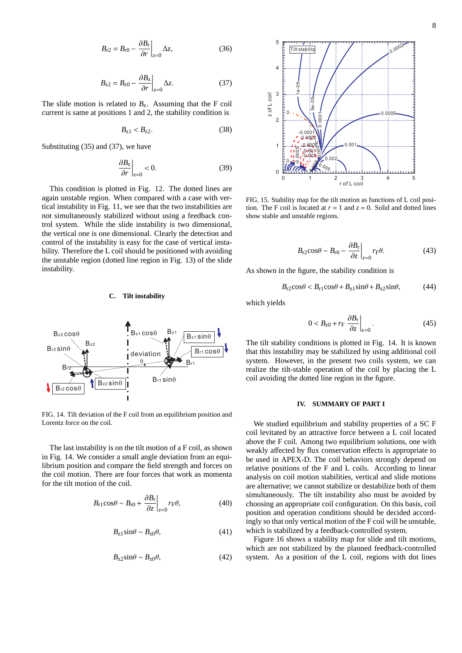$$
B_{r2} = B_{r0} - \frac{\partial B_r}{\partial r}\bigg|_{z=0} \Delta z,\tag{36}
$$

$$
B_{z2} = B_{z0} - \frac{\partial B_z}{\partial r}\Big|_{z=0} \Delta z.
$$
 (37)

The slide motion is related to  $B_z$ . Assuming that the F coil current is same at positions 1 and 2, the stability condition is

$$
B_{z1} < B_{z2}.\tag{38}
$$

Substituting (35) and (37), we have

$$
\left. \frac{\partial B_z}{\partial r} \right|_{z=0} < 0. \tag{39}
$$

This condition is plotted in Fig. 12. The dotted lines are again unstable region. When compared with a case with vertical instability in Fig. 11, we see that the two instabilities are not simultaneously stabilized without using a feedback control system. While the slide instability is two dimensional, the vertical one is one dimensional. Clearly the detection and control of the instability is easy for the case of vertical instability. Therefore the L coil should be positioned with avoiding the unstable region (dotted line region in Fig. 13) of the slide instability.

### **C. Tilt instability**

![](_page_8_Figure_8.jpeg)

FIG. 14. Tilt deviation of the F coil from an equilibrium position and Lorentz force on the coil.

The last instability is on the tilt motion of a F coil, as shown in Fig. 14. We consider a small angle deviation from an equilibrium position and compare the field strength and forces on the coil motion. There are four forces that work as momenta for the tilt motion of the coil.

$$
B_{\rm r1} \cos \theta \sim B_{\rm r0} + \left. \frac{\partial B_{\rm r}}{\partial z} \right|_{z=0} r_{\rm F} \theta,\tag{40}
$$

$$
B_{z1}\sin\theta \sim B_{z0}\theta,\tag{41}
$$

$$
B_{z2}\sin\theta \sim B_{z0}\theta,\tag{42}
$$

![](_page_8_Figure_14.jpeg)

FIG. 15. Stability map for the tilt motion as functions of L coil position. The F coil is located at  $r = 1$  and  $z = 0$ . Solid and dotted lines show stable and unstable regions.

$$
B_{\rm r2} \cos \theta \sim B_{\rm r0} - \left. \frac{\partial B_{\rm r}}{\partial z} \right|_{z=0} r_{\rm F} \theta. \tag{43}
$$

As shown in the figure, the stability condition is

$$
B_{r2}\cos\theta < B_{r1}\cos\theta + B_{z1}\sin\theta + B_{z2}\sin\theta,\tag{44}
$$

which yields

$$
0 < B_{z0} + r_{\rm F} \left. \frac{\partial B_{\rm r}}{\partial z} \right|_{z=0} . \tag{45}
$$

The tilt stability conditions is plotted in Fig. 14. It is known that this instability may be stabilized by using additional coil system. However, in the present two coils system, we can realize the tilt-stable operation of the coil by placing the L coil avoiding the dotted line region in the figure.

## **IV. SUMMARY OF PART I**

We studied equilibrium and stability properties of a SC F coil levitated by an attractive force between a L coil located above the F coil. Among two equilibrium solutions, one with weakly affected by flux conservation effects is appropriate to be used in APEX-D. The coil behaviors strongly depend on relative positions of the F and L coils. According to linear analysis on coil motion stabilities, vertical and slide motions are alternative; we cannot stabilize or destabilize both of them simultaneously. The tilt instability also must be avoided by choosing an appropriate coil configuration. On this basis, coil position and operation conditions should be decided accordingly so that only vertical motion of the F coil will be unstable, which is stabilized by a feedback-controlled system.

Figure 16 shows a stability map for slide and tilt motions, which are not stabilized by the planned feedback-controlled system. As a position of the L coil, regions with dot lines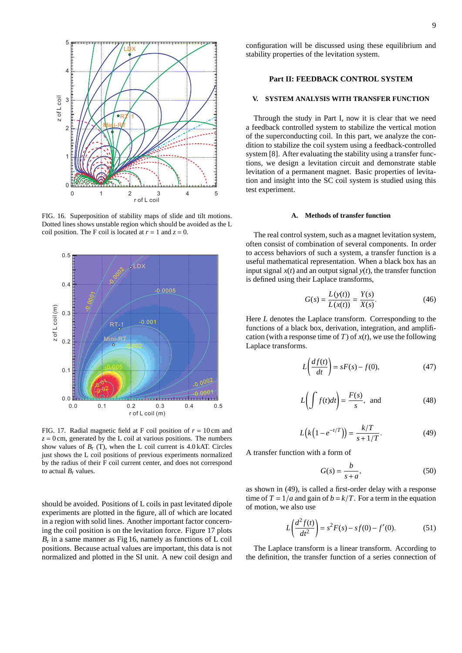![](_page_9_Figure_0.jpeg)

FIG. 16. Superposition of stability maps of slide and tilt motions. Dotted lines shows unstable region which should be avoided as the L coil position. The F coil is located at  $r = 1$  and  $z = 0$ .

![](_page_9_Figure_2.jpeg)

FIG. 17. Radial magnetic field at F coil position of  $r = 10$  cm and  $z = 0$  cm, generated by the L coil at various positions. The numbers show values of  $B_r$  (T), when the L coil current is  $4.0 \text{ kAT}$ . Circles just shows the L coil positions of previous experiments normalized by the radius of their F coil current center, and does not correspond to actual  $B_r$  values.

should be avoided. Positions of L coils in past levitated dipole experiments are plotted in the figure, all of which are located in a region with solid lines. Another important factor concerning the coil position is on the levitation force. Figure 17 plots *B*r in a same manner as Fig 16, namely as functions of L coil positions. Because actual values are important, this data is not normalized and plotted in the SI unit. A new coil design and

configuration will be discussed using these equilibrium and stability properties of the levitation system.

## **Part II: FEEDBACK CONTROL SYSTEM**

## **V. SYSTEM ANALYSIS WITH TRANSFER FUNCTION**

Through the study in Part I, now it is clear that we need a feedback controlled system to stabilize the vertical motion of the superconducting coil. In this part, we analyze the condition to stabilize the coil system using a feedback-controlled system [8]. After evaluating the stability using a transfer functions, we design a levitation circuit and demonstrate stable levitation of a permanent magnet. Basic properties of levitation and insight into the SC coil system is studied using this test experiment.

### **A. Methods of transfer function**

The real control system, such as a magnet levitation system, often consist of combination of several components. In order to access behaviors of such a system, a transfer function is a useful mathematical representation. When a black box has an input signal  $x(t)$  and an output signal  $y(t)$ , the transfer function is defined using their Laplace transforms,

$$
G(s) = \frac{L(y(t))}{L(x(t))} = \frac{Y(s)}{X(s)}.
$$
 (46)

Here *L* denotes the Laplace transform. Corresponding to the functions of a black box, derivation, integration, and amplification (with a response time of *T*) of *x*(*t*), we use the following Laplace transforms.

$$
L\left(\frac{df(t)}{dt}\right) = sF(s) - f(0),\tag{47}
$$

$$
L\bigg(\int f(t)dt\bigg) = \frac{F(s)}{s}, \text{ and } (48)
$$

$$
L(k(1 - e^{-t/T})) = \frac{k/T}{s + 1/T}.
$$
 (49)

A transfer function with a form of

$$
G(s) = \frac{b}{s+a},\tag{50}
$$

as shown in (49), is called a first-order delay with a response time of  $T = 1/a$  and gain of  $b = k/T$ . For a term in the equation of motion, we also use

$$
L\left(\frac{d^2 f(t)}{dt^2}\right) = s^2 F(s) - sf(0) - f'(0). \tag{51}
$$

The Laplace transform is a linear transform. According to the definition, the transfer function of a series connection of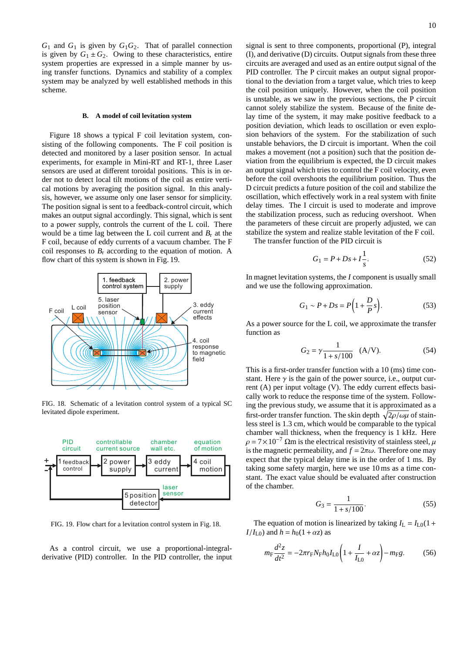*G*<sup>1</sup> and *G*<sup>1</sup> is given by *G*1*G*2. That of parallel connection is given by  $G_1 \pm G_2$ . Owing to these characteristics, entire system properties are expressed in a simple manner by using transfer functions. Dynamics and stability of a complex system may be analyzed by well established methods in this scheme.

### **B. A model of coil levitation system**

Figure 18 shows a typical F coil levitation system, consisting of the following components. The F coil position is detected and monitored by a laser position sensor. In actual experiments, for example in Mini-RT and RT-1, three Laser sensors are used at different toroidal positions. This is in order not to detect local tilt motions of the coil as entire vertical motions by averaging the position signal. In this analysis, however, we assume only one laser sensor for simplicity. The position signal is sent to a feedback-control circuit, which makes an output signal accordingly. This signal, which is sent to a power supply, controls the current of the L coil. There would be a time lag between the L coil current and  $B_r$  at the F coil, because of eddy currents of a vacuum chamber. The F coil responses to  $B_r$  according to the equation of motion. A flow chart of this system is shown in Fig. 19.

![](_page_10_Figure_3.jpeg)

FIG. 18. Schematic of a levitation control system of a typical SC levitated dipole experiment.

![](_page_10_Figure_5.jpeg)

FIG. 19. Flow chart for a levitation control system in Fig. 18.

As a control circuit, we use a proportional-integralderivative (PID) controller. In the PID controller, the input signal is sent to three components, proportional (P), integral (I), and derivative (D) circuits. Output signals from these three circuits are averaged and used as an entire output signal of the PID controller. The P circuit makes an output signal proportional to the deviation from a target value, which tries to keep the coil position uniquely. However, when the coil position is unstable, as we saw in the previous sections, the P circuit cannot solely stabilize the system. Because of the finite delay time of the system, it may make positive feedback to a position deviation, which leads to oscillation or even explosion behaviors of the system. For the stabilization of such unstable behaviors, the D circuit is important. When the coil makes a movement (not a position) such that the position deviation from the equilibrium is expected, the D circuit makes an output signal which tries to control the F coil velocity, even before the coil overshoots the equilibrium position. Thus the D circuit predicts a future position of the coil and stabilize the oscillation, which effectively work in a real system with finite delay times. The I circuit is used to moderate and improve the stabilization process, such as reducing overshoot. When the parameters of these circuit are properly adjusted, we can stabilize the system and realize stable levitation of the F coil.

The transfer function of the PID circuit is

$$
G_1 = P + Ds + I\frac{1}{s}.\tag{52}
$$

In magnet levitation systems, the *I* component is usually small and we use the following approximation.

$$
G_1 \sim P + Ds = P\left(1 + \frac{D}{P}s\right). \tag{53}
$$

As a power source for the L coil, we approximate the transfer function as

$$
G_2 = \gamma \frac{1}{1 + s/100} \quad (A/V). \tag{54}
$$

This is a first-order transfer function with a 10 (ms) time constant. Here  $\gamma$  is the gain of the power source, i.e., output current (A) per input voltage (V). The eddy current effects basically work to reduce the response time of the system. Following the previous study, we assume that it is approximated as a first-order transfer function. The skin depth  $\sqrt{2\rho/\omega\mu}$  of stainless steel is 1.3 cm, which would be comparable to the typical chamber wall thickness, when the frequency is 1 kHz. Here  $\rho = 7 \times 10^{-7}$  Ωm is the electrical resistivity of stainless steel,  $\mu$ is the magnetic permeability, and  $f = 2\pi\omega$ . Therefore one may expect that the typical delay time is in the order of 1 ms. By taking some safety margin, here we use 10 ms as a time constant. The exact value should be evaluated after construction of the chamber.

$$
G_3 = \frac{1}{1 + s/100}.\tag{55}
$$

The equation of motion is linearized by taking  $I_L = I_{L0}(1 +$ *I*/*I*<sub>L0</sub>) and *h* = *h*<sub>0</sub>(1+ $\alpha$ *z*) as

$$
m_{\rm F} \frac{d^2 z}{dt^2} = -2\pi r_{\rm F} N_{\rm F} h_0 I_{\rm L0} \left( 1 + \frac{I}{I_{\rm L0}} + \alpha z \right) - m_{\rm F} g. \tag{56}
$$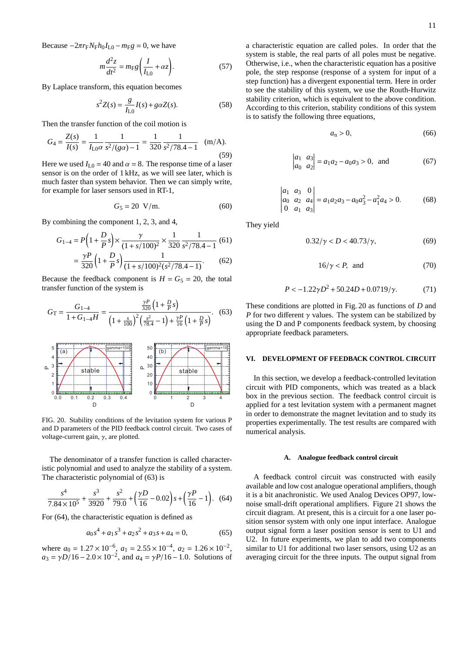Because  $-2\pi r_F N_F h_0 I_{L0} - m_F g = 0$ , we have

$$
m\frac{d^2z}{dt^2} = m_{\rm F}g\left(\frac{I}{I_{\rm LO}} + \alpha z\right). \tag{57}
$$

By Laplace transform, this equation becomes

$$
s^{2}Z(s) = \frac{g}{I_{L0}}I(s) + g\alpha Z(s).
$$
 (58)

Then the transfer function of the coil motion is

$$
G_4 = \frac{Z(s)}{I(s)} = \frac{1}{I_{\text{LO}}\alpha} \frac{1}{s^2/(g\alpha) - 1} = \frac{1}{320} \frac{1}{s^2/78.4 - 1} \quad (\text{m/A}).
$$
\n(59)

Here we used  $I_{L0} = 40$  and  $\alpha = 8$ . The response time of a laser sensor is on the order of 1 kHz, as we will see later, which is much faster than system behavior. Then we can simply write, for example for laser sensors used in RT-1,

$$
G_5 = 20 \text{ V/m}.\tag{60}
$$

By combining the component 1, 2, 3, and 4,

$$
G_{1-4} = P\left(1 + \frac{D}{P}s\right) \times \frac{\gamma}{(1 + s/100)^2} \times \frac{1}{320} \frac{1}{s^2/78.4 - 1} \tag{61}
$$
\n
$$
= \frac{\gamma P}{320} \left(1 + \frac{D}{P}s\right) \frac{1}{(1 + s/100)^2 (s^2/78.4 - 1)} \tag{62}
$$

Because the feedback component is  $H = G_5 = 20$ , the total transfer function of the system is

$$
G_{\rm T} = \frac{G_{1-4}}{1 + G_{1-4}H} = \frac{\frac{\gamma P}{320} \left(1 + \frac{D}{P}s\right)}{\left(1 + \frac{s}{100}\right)^2 \left(\frac{s^2}{78.4} - 1\right) + \frac{\gamma P}{16} \left(1 + \frac{D}{P}s\right)}.
$$
(63)

![](_page_11_Figure_12.jpeg)

FIG. 20. Stability conditions of the levitation system for various P and D parameters of the PID feedback control circuit. Two cases of voltage-current gain,  $\gamma$ , are plotted.

The denominator of a transfer function is called characteristic polynomial and used to analyze the stability of a system. The characteristic polynomial of (63) is

$$
\frac{s^4}{7.84 \times 10^5} + \frac{s^3}{3920} + \frac{s^2}{79.0} + \left(\frac{\gamma D}{16} - 0.02\right)s + \left(\frac{\gamma P}{16} - 1\right).
$$
 (64)

For (64), the characteristic equation is defined as

$$
a_0s^4 + a_1s^3 + a_2s^2 + a_3s + a_4 = 0,\t(65)
$$

where  $a_0 = 1.27 \times 10^{-6}$ ,  $a_1 = 2.55 \times 10^{-4}$ ,  $a_2 = 1.26 \times 10^{-2}$ ,  $a_3 = \gamma D/16 - 2.0 \times 10^{-2}$ , and  $a_4 = \gamma P/16 - 1.0$ . Solutions of a characteristic equation are called poles. In order that the system is stable, the real parts of all poles must be negative. Otherwise, i.e., when the characteristic equation has a positive pole, the step response (response of a system for input of a step function) has a divergent exponential term. Here in order to see the stability of this system, we use the Routh-Hurwitz stability criterion, which is equivalent to the above condition. According to this criterion, stability conditions of this system is to satisfy the following three equations,

$$
a_{n} > 0, \tag{66}
$$

$$
\begin{vmatrix} a_1 & a_3 \\ a_0 & a_2 \end{vmatrix} = a_1 a_2 - a_0 a_3 > 0, \text{ and } (67)
$$

$$
\begin{vmatrix} a_1 & a_3 & 0 \\ a_0 & a_2 & a_4 \\ 0 & a_1 & a_3 \end{vmatrix} = a_1 a_2 a_3 - a_0 a_3^2 - a_1^2 a_4 > 0.
$$
 (68)

They yield

$$
0.32/\gamma < D < 40.73/\gamma,\tag{69}
$$

$$
16/\gamma < P, \quad \text{and} \tag{70}
$$

$$
P < -1.22\gamma D^2 + 50.24D + 0.0719/\gamma. \tag{71}
$$

These conditions are plotted in Fig. 20 as functions of *D* and *P* for two different  $\gamma$  values. The system can be stabilized by using the D and P components feedback system, by choosing appropriate feedback parameters.

#### **VI. DEVELOPMENT OF FEEDBACK CONTROL CIRCUIT**

In this section, we develop a feedback-controlled levitation circuit with PID components, which was treated as a black box in the previous section. The feedback control circuit is applied for a test levitation system with a permanent magnet in order to demonstrate the magnet levitation and to study its properties experimentally. The test results are compared with numerical analysis.

#### **A. Analogue feedback control circuit**

A feedback control circuit was constructed with easily available and low cost analogue operational amplifiers, though it is a bit anachronistic. We used Analog Devices OP97, lownoise small-drift operational amplifiers. Figure 21 shows the circuit diagram. At present, this is a circuit for a one laser position sensor system with only one input interface. Analogue output signal form a laser position sensor is sent to U1 and U2. In future experiments, we plan to add two components similar to U1 for additional two laser sensors, using U2 as an averaging circuit for the three inputs. The output signal from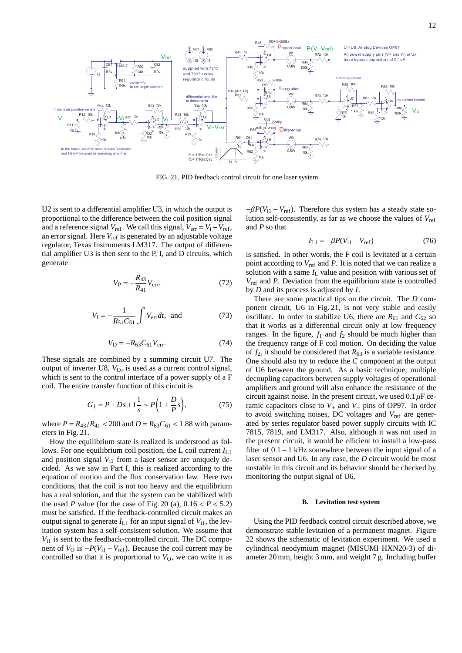![](_page_12_Figure_0.jpeg)

FIG. 21. PID feedback control circuit for one laser system.

U2 is sent to a differential amplifier U3, in which the output is proportional to the difference between the coil position signal and a reference signal  $V_{ref}$ . We call this signal,  $V_{err} = V_i - V_{ref}$ , an error signal. Here *V*ref is generated by an adjustable voltage regulator, Texas Instruments LM317. The output of differential amplifier U3 is then sent to the P, I, and D circuits, which generate

$$
V_{\rm P} = -\frac{R_{43}}{R_{41}} V_{\rm err},\tag{72}
$$

$$
V_{I} = -\frac{1}{R_{51}C_{51}} \int V_{\text{err}} dt, \text{ and } (73)
$$

$$
V_{\rm D} = -R_{63} C_{61} V_{\rm err}.
$$
 (74)

These signals are combined by a summing circuit U7. The output of inverter U8,  $V<sub>O</sub>$ , is used as a current control signal, which is sent to the control interface of a power supply of a F coil. The entire transfer function of this circuit is

$$
G_1 = P + Ds + I \frac{1}{s} \sim P\Big(1 + \frac{D}{P}s\Big),
$$
 (75)

where  $P = R_{43}/R_{41} < 200$  and  $D = R_{63}C_{61} < 1.88$  with parameters in Fig. 21.

How the equilibrium state is realized is understood as follows. For one equilibrium coil position, the L coil current  $I_{L1}$ and position signal  $V_{11}$  from a laser sensor are uniquely decided. As we saw in Part I, this is realized according to the equation of motion and the flux conservation law. Here two conditions, that the coil is not too heavy and the equilibrium has a real solution, and that the system can be stabilized with the used *P* value (for the case of Fig. 20 (a),  $0.16 < P < 5.2$ ) must be satisfied. If the feedback-controlled circuit makes an output signal to generate  $I_{L1}$  for an input signal of  $V_{i1}$ , the levitation system has a self-consistent solution. We assume that  $V_{11}$  is sent to the feedback-controlled circuit. The DC component of  $V$ <sub>O</sub> is −*P*( $V$ <sub>i1</sub> −  $V$ <sub>ref</sub>). Because the coil current may be controlled so that it is proportional to  $V<sub>O</sub>$ , we can write it as  $-\beta P(V_{i1} - V_{ref})$ . Therefore this system has a steady state solution self-consistently, as far as we choose the values of *V*ref and *P* so that

$$
I_{L1} = -\beta P(V_{i1} - V_{ref})
$$
 (76)

is satisfied. In other words, the F coil is levitated at a certain point according to *V*ref and *P*. It is noted that we can realize a solution with a same  $I_L$  value and position with various set of *V*ref and *P*. Deviation from the equilibrium state is controlled by *D* and its process is adjusted by *I*.

There are some practical tips on the circuit. The *D* component circuit, U6 in Fig. 21, is not very stable and easily oscillate. In order to stabilize U6, there are  $R_{61}$  and  $C_{62}$  so that it works as a differential circuit only at low frequency ranges. In the figure,  $f_1$  and  $f_2$  should be much higher than the frequency range of F coil motion. On deciding the value of  $f_2$ , it should be considered that  $R_{63}$  is a variable resistance. One should also try to reduce the *C* component at the output of U6 between the ground. As a basic technique, multiple decoupling capacitors between supply voltages of operational amplifiers and ground will also enhance the resistance of the circuit against noise. In the present circuit, we used  $0.1 \mu$ F ceramic capacitors close to *V*<sup>+</sup> and *V*<sup>−</sup> pins of OP97. In order to avoid switching noises, DC voltages and *V*ref are generated by series regulator based power supply circuits with IC 7815, 7819, and LM317. Also, although it was not used in the present circuit, it would be efficient to install a low-pass filter of 0.1−1 kHz somewhere between the input signal of a laser sensor and U6. In any case, the *D* circuit would be most unstable in this circuit and its behavior should be checked by monitoring the output signal of U6.

#### **B. Levitation test system**

Using the PID feedback control circuit described above, we demonstrate stable levitation of a permanent magnet. Figure 22 shows the schematic of levitation experiment. We used a cylindrical neodymium magnet (MISUMI HXN20-3) of diameter 20 mm, height 3 mm, and weight 7 g. Including buffer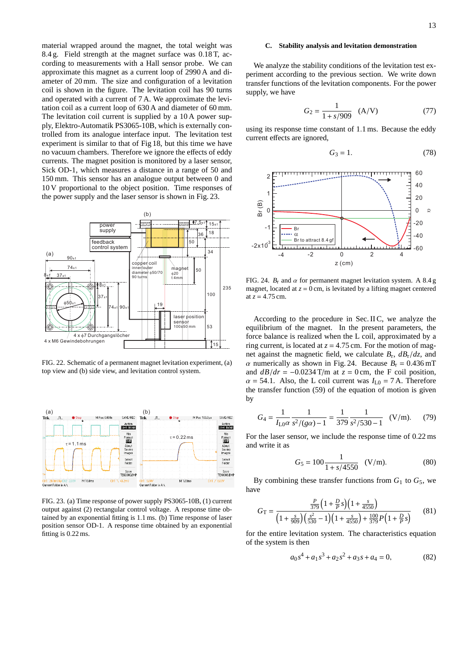material wrapped around the magnet, the total weight was 8.4 g. Field strength at the magnet surface was 0.18 T, according to measurements with a Hall sensor probe. We can approximate this magnet as a current loop of 2990 A and diameter of 20 mm. The size and configuration of a levitation coil is shown in the figure. The levitation coil has 90 turns and operated with a current of 7 A. We approximate the levitation coil as a current loop of 630 A and diameter of 60 mm. The levitation coil current is supplied by a 10 A power supply, Elektro-Automatik PS3065-10B, which is externally controlled from its analogue interface input. The levitation test experiment is similar to that of Fig 18, but this time we have no vacuum chambers. Therefore we ignore the effects of eddy currents. The magnet position is monitored by a laser sensor, Sick OD-1, which measures a distance in a range of 50 and 150 mm. This sensor has an analogue output between 0 and 10 V proportional to the object position. Time responses of the power supply and the laser sensor is shown in Fig. 23.

![](_page_13_Figure_2.jpeg)

FIG. 22. Schematic of a permanent magnet levitation experiment, (a) top view and (b) side view, and levitation control system.

![](_page_13_Figure_4.jpeg)

FIG. 23. (a) Time response of power supply PS3065-10B, (1) current output against (2) rectangular control voltage. A response time obtained by an exponential fitting is 1.1 ms. (b) Time response of laser position sensor OD-1. A response time obtained by an exponential fitting is 0.22 ms.

## **C. Stability analysis and levitation demonstration**

We analyze the stability conditions of the levitation test experiment according to the previous section. We write down transfer functions of the levitation components. For the power supply, we have

$$
G_2 = \frac{1}{1 + s/909} \quad (A/V) \tag{77}
$$

using its response time constant of 1.1 ms. Because the eddy current effects are ignored,

$$
G_3 = 1.\t(78)
$$

![](_page_13_Figure_11.jpeg)

FIG. 24.  $B_r$  and  $\alpha$  for permanent magnet levitation system. A 8.4 g magnet, located at  $z = 0$  cm, is levitated by a lifting magnet centered at  $z = 4.75$  cm.

According to the procedure in Sec. II C, we analyze the equilibrium of the magnet. In the present parameters, the force balance is realized when the L coil, approximated by a ring current, is located at  $z = 4.75$  cm. For the motion of magnet against the magnetic field, we calculate  $B_r$ ,  $dB_r/dz$ , and  $\alpha$  numerically as shown in Fig. 24. Because  $B_r = 0.436$  mT and  $dB/dr = -0.0234$  T/m at  $z = 0$  cm, the F coil position,  $\alpha$  = 54.1. Also, the L coil current was  $I_{L0}$  = 7 A. Therefore the transfer function (59) of the equation of motion is given by

$$
G_4 = \frac{1}{I_{\text{LO}}\alpha} \frac{1}{s^2/(g\alpha) - 1} = \frac{1}{379} \frac{1}{s^2/530 - 1} \quad (V/m). \tag{79}
$$

For the laser sensor, we include the response time of 0.22 ms and write it as

$$
G_5 = 100 \frac{1}{1 + s/4550} \quad (V/m). \tag{80}
$$

By combining these transfer functions from  $G_1$  to  $G_5$ , we have

$$
G_{\rm T} = \frac{\frac{P}{379} \left( 1 + \frac{D}{P} s \right) \left( 1 + \frac{s}{4550} \right)}{\left( 1 + \frac{s}{909} \right) \left( \frac{s^2}{530} - 1 \right) \left( 1 + \frac{s}{4550} \right) + \frac{100}{379} P \left( 1 + \frac{D}{P} s \right)}\tag{81}
$$

for the entire levitation system. The characteristics equation of the system is then

$$
a_0s^4 + a_1s^3 + a_2s^2 + a_3s + a_4 = 0,\t(82)
$$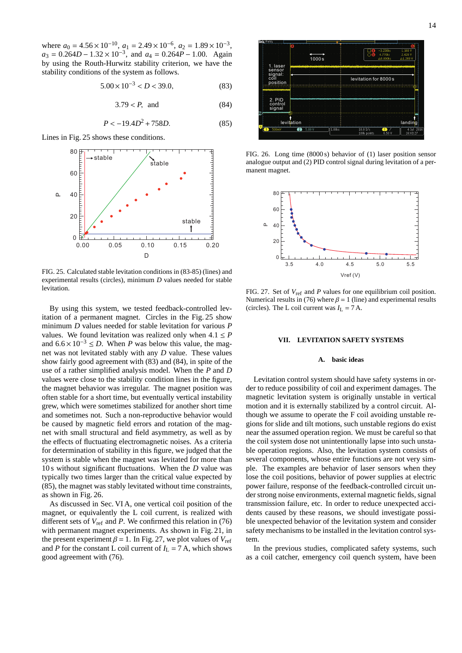where  $a_0 = 4.56 \times 10^{-10}$ ,  $a_1 = 2.49 \times 10^{-6}$ ,  $a_2 = 1.89 \times 10^{-3}$ ,  $a_3 = 0.264D - 1.32 \times 10^{-3}$ , and  $a_4 = 0.264P - 1.00$ . Again by using the Routh-Hurwitz stability criterion, we have the stability conditions of the system as follows.

$$
5.00 \times 10^{-3} < D < 39.0,\tag{83}
$$

$$
3.79 < P, \quad \text{and} \tag{84}
$$

$$
P < -19.4D^2 + 758D. \tag{85}
$$

Lines in Fig. 25 shows these conditions.

![](_page_14_Figure_5.jpeg)

FIG. 25. Calculated stable levitation conditions in (83-85) (lines) and experimental results (circles), minimum *D* values needed for stable levitation.

By using this system, we tested feedback-controlled levitation of a permanent magnet. Circles in the Fig. 25 show minimum *D* values needed for stable levitation for various *P* values. We found levitation was realized only when  $4.1 \leq P$ and  $6.6 \times 10^{-3}$  ≤ *D*. When *P* was below this value, the magnet was not levitated stably with any *D* value. These values show fairly good agreement with (83) and (84), in spite of the use of a rather simplified analysis model. When the *P* and *D* values were close to the stability condition lines in the figure, the magnet behavior was irregular. The magnet position was often stable for a short time, but eventually vertical instability grew, which were sometimes stabilized for another short time and sometimes not. Such a non-reproductive behavior would be caused by magnetic field errors and rotation of the magnet with small structural and field asymmetry, as well as by the effects of fluctuating electromagnetic noises. As a criteria for determination of stability in this figure, we judged that the system is stable when the magnet was levitated for more than 10 s without significant fluctuations. When the *D* value was typically two times larger than the critical value expected by (85), the magnet was stably levitated without time constraints, as shown in Fig. 26.

As discussed in Sec. VI A, one vertical coil position of the magnet, or equivalently the L coil current, is realized with different sets of  $V_{ref}$  and  $P$ . We confirmed this relation in (76) with permanent magnet experiments. As shown in Fig. 21, in the present experiment  $\beta = 1$ . In Fig. 27, we plot values of  $V_{ref}$ and *P* for the constant L coil current of  $I_L = 7$  A, which shows good agreement with (76).

![](_page_14_Figure_9.jpeg)

FIG. 26. Long time (8000 s) behavior of (1) laser position sensor analogue output and (2) PID control signal during levitation of a permanent magnet.

![](_page_14_Figure_11.jpeg)

FIG. 27. Set of *V*ref and *P* values for one equilibrium coil position. Numerical results in (76) where  $\beta = 1$  (line) and experimental results (circles). The L coil current was  $I_L = 7$  A.

## **VII. LEVITATION SAFETY SYSTEMS**

## **A. basic ideas**

Levitation control system should have safety systems in order to reduce possibility of coil and experiment damages. The magnetic levitation system is originally unstable in vertical motion and it is externally stabilized by a control circuit. Although we assume to operate the F coil avoiding unstable regions for slide and tilt motions, such unstable regions do exist near the assumed operation region. We must be careful so that the coil system dose not unintentionally lapse into such unstable operation regions. Also, the levitation system consists of several components, whose entire functions are not very simple. The examples are behavior of laser sensors when they lose the coil positions, behavior of power supplies at electric power failure, response of the feedback-controlled circuit under strong noise environments, external magnetic fields, signal transmission failure, etc. In order to reduce unexpected accidents caused by these reasons, we should investigate possible unexpected behavior of the levitation system and consider safety mechanisms to be installed in the levitation control system.

In the previous studies, complicated safety systems, such as a coil catcher, emergency coil quench system, have been